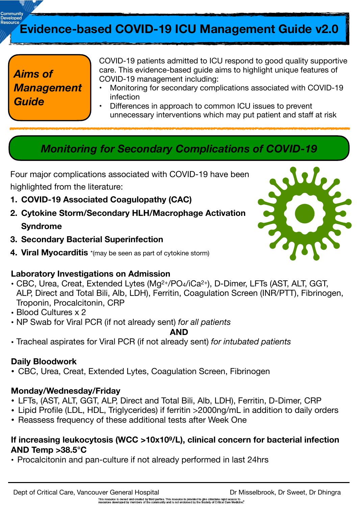# **Evidence-based COVID-19 ICU Management Guide v2.0**

## *Aims of Management Guide*

COVID-19 patients admitted to ICU respond to good quality supportive care. This evidence-based guide aims to highlight unique features of COVID-19 management including:

- Monitoring for secondary complications associated with COVID-19 infection
- Differences in approach to common ICU issues to prevent unnecessary interventions which may put patient and staff at risk

## *Monitoring for Secondary Complications of COVID-19*

Four major complications associated with COVID-19 have been highlighted from the literature:

- **1. COVID-19 Associated Coagulopathy (CAC)**
- **2. Cytokine Storm/Secondary HLH/Macrophage Activation Syndrome**
- **3. Secondary Bacterial Superinfection**
- **4. Viral Myocarditis** \*(may be seen as part of cytokine storm)

#### **Laboratory Investigations on Admission**

- CBC, Urea, Creat, Extended Lytes (Mg2+/PO4/iCa2+), D-Dimer, LFTs (AST, ALT, GGT, ALP, Direct and Total Bili, Alb, LDH), Ferritin, Coagulation Screen (INR/PTT), Fibrinogen, Troponin, Procalcitonin, CRP
- Blood Cultures x 2
- NP Swab for Viral PCR (if not already sent) *for all patients*

#### **AND**

• Tracheal aspirates for Viral PCR (if not already sent) *for intubated patients*

#### **Daily Bloodwork**

• CBC, Urea, Creat, Extended Lytes, Coagulation Screen, Fibrinogen

#### **Monday/Wednesday/Friday**

- LFTs, (AST, ALT, GGT, ALP, Direct and Total Bili, Alb, LDH), Ferritin, D-Dimer, CRP
- Lipid Profile (LDL, HDL, Triglycerides) if ferritin >2000ng/mL in addition to daily orders
- Reassess frequency of these additional tests after Week One

#### **If increasing leukocytosis (WCC >10x109/L), clinical concern for bacterial infection AND Temp >38.5°C**

• Procalcitonin and pan-culture if not already performed in last 24hrs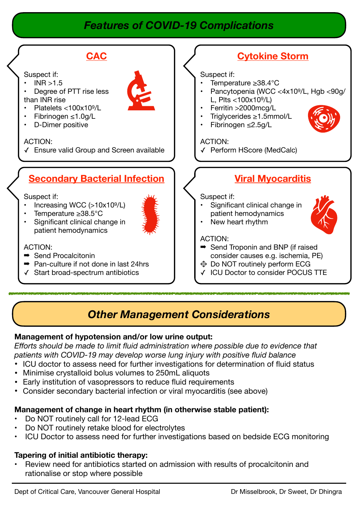## *Features of COVID-19 Complications*



## *Other Management Considerations*

#### **Management of hypotension and/or low urine output:**

*Efforts should be made to limit fluid administration where possible due to evidence that patients with COVID-19 may develop worse lung injury with positive fluid balance* 

- ICU doctor to assess need for further investigations for determination of fluid status
- Minimise crystalloid bolus volumes to 250mL aliquots
- Early institution of vasopressors to reduce fluid requirements
- Consider secondary bacterial infection or viral myocarditis (see above)

## **Management of change in heart rhythm (in otherwise stable patient):**

- Do NOT routinely call for 12-lead ECG
- Do NOT routinely retake blood for electrolytes
- ICU Doctor to assess need for further investigations based on bedside ECG monitoring

### **Tapering of initial antibiotic therapy:**

• Review need for antibiotics started on admission with results of procalcitonin and rationalise or stop where possible